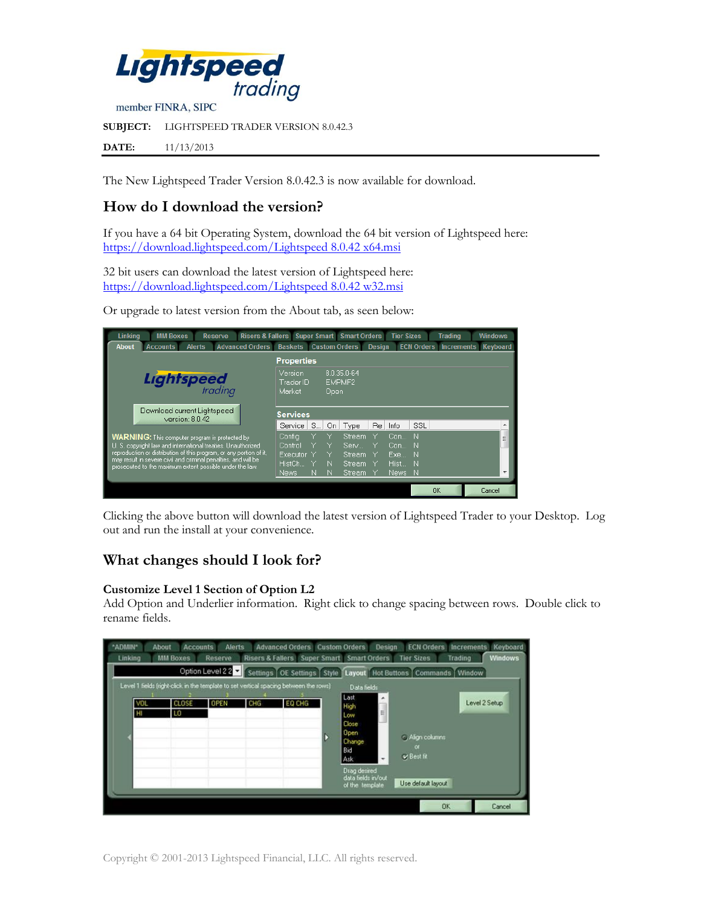

The New Lightspeed Trader Version 8.0.42.3 is now available for download.

# **How do I download the version?**

If you have a 64 bit Operating System, download the 64 bit version of Lightspeed here: [https://download.lightspeed.com/Lightspeed 8.0.42](https://download.lightspeed.com/Lightspeed%208.0.42%20x64.msi) x64.msi

32 bit users can download the latest version of Lightspeed here: [https://download.lightspeed.com/Lightspeed 8.0.42](https://download.lightspeed.com/Lightspeed%208.0.42%20w32.msi) w32.msi

Or upgrade to latest version from the About tab, as seen below:

| Linking<br><b>Risers &amp; Fallers Super Smart Smart Orders</b><br><b>MM Boxes</b><br><b>Reserve</b>                                                                                                                                                                                                                       |                                                   |   |        |                                               |               | <b>Tier Sizes</b>                   |                             | <b>Trading</b>    | <b>Windows</b> |
|----------------------------------------------------------------------------------------------------------------------------------------------------------------------------------------------------------------------------------------------------------------------------------------------------------------------------|---------------------------------------------------|---|--------|-----------------------------------------------|---------------|-------------------------------------|-----------------------------|-------------------|----------------|
| <b>Alerts</b><br><b>Advanced Orders</b><br><b>Accounts</b><br><b>About</b>                                                                                                                                                                                                                                                 | <b>Baskets Custom Orders</b>                      |   |        |                                               | <b>Design</b> |                                     | <b>ECN Orders</b>           | <b>Increments</b> | Keyboard       |
| <b>Properties</b>                                                                                                                                                                                                                                                                                                          |                                                   |   |        |                                               |               |                                     |                             |                   |                |
| <b>Lightspeed</b>                                                                                                                                                                                                                                                                                                          | Version<br>Trader ID<br>Market                    |   | Open   | 8.0.35.0-64<br>EMPMF2                         |               |                                     |                             |                   |                |
| Download current Lightspeed<br>version: 8.0.42                                                                                                                                                                                                                                                                             | <b>Services</b><br>Service                        | S | On     | Type                                          | Re            | Info                                | SSL                         |                   | ۸              |
| <b>WARNING:</b> This computer program is protected by<br>U. S. copyright law and international treaties. Unauthorized<br>reproduction or distribution of this program, or any portion of it,<br>may result in severe civil and criminal penalties, and will be<br>prosecuted to the maximum extent possible under the law. | Confia<br>Control<br>Executor Y<br>HistCh<br>News | N | N<br>N | Stream.<br>Serv<br>Stream<br>Stream<br>Stream |               | Con<br>Con<br>Exe<br>Hist…<br>News: | N<br>- N<br>-N<br>-N<br>- N |                   | Ė<br>٠         |
|                                                                                                                                                                                                                                                                                                                            |                                                   |   |        |                                               |               |                                     |                             | <b>OK</b>         | Cancel         |

Clicking the above button will download the latest version of Lightspeed Trader to your Desktop. Log out and run the install at your convenience.

# **What changes should I look for?**

### **Customize Level 1 Section of Option L2**

Add Option and Underlier information. Right click to change spacing between rows. Double click to rename fields.

| "ADMIN"<br>Linking | <b>About</b> | <b>Accounts</b><br><b>MM Boxes</b> | <b>Alerts</b><br>Reserve |     | <b>Advanced Orders Custom Orders</b><br>Risers & Fallers Super Smart Smart Orders                                                              |                                                                                                                                                                   | <b>Design</b> | <b>ECN Orders</b><br><b>Tier Sizes</b>                  | Increments<br><b>Trading</b>       | Keyboard<br><b>Windows</b> |
|--------------------|--------------|------------------------------------|--------------------------|-----|------------------------------------------------------------------------------------------------------------------------------------------------|-------------------------------------------------------------------------------------------------------------------------------------------------------------------|---------------|---------------------------------------------------------|------------------------------------|----------------------------|
|                    | VOL<br>Ξ     | <b>CLOSE</b><br>LO                 | <b>OPEN</b>              | CHG | Option Level 2 2 Settings OE Settings Style<br>Level 1 fields (right-click in the template to set vertical spacing between the rows)<br>EQ CHG | <b>Layout</b> Hot Buttons<br>Data fields<br>Last<br>High<br>Low<br>Close<br>Open<br>Change<br>Bid<br>Ask<br>Drag desired<br>data fields in/out<br>of the template | ۸<br>E<br>٠   | Align columns<br>or<br>v Best fit<br>Use default layout | Commands   Window<br>Level 2 Setup |                            |
|                    |              |                                    |                          |     |                                                                                                                                                |                                                                                                                                                                   |               | <b>OK</b>                                               |                                    | Cancel                     |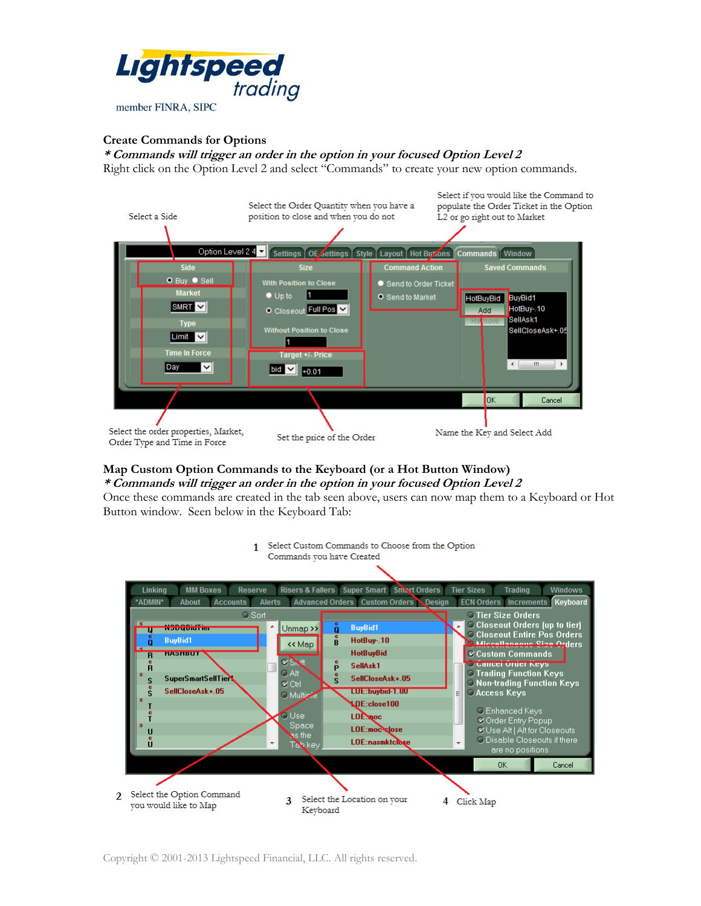

### **Create Commands for Options**

**\* Commands will trigger an order in the option in your focused Option Level 2** Right click on the Option Level 2 and select "Commands" to create your new option commands.



#### **Map Custom Option Commands to the Keyboard (or a Hot Button Window) \* Commands will trigger an order in the option in your focused Option Level 2**

Once these commands are created in the tab seen above, users can now map them to a Keyboard or Hot Button window. Seen below in the Keyboard Tab:

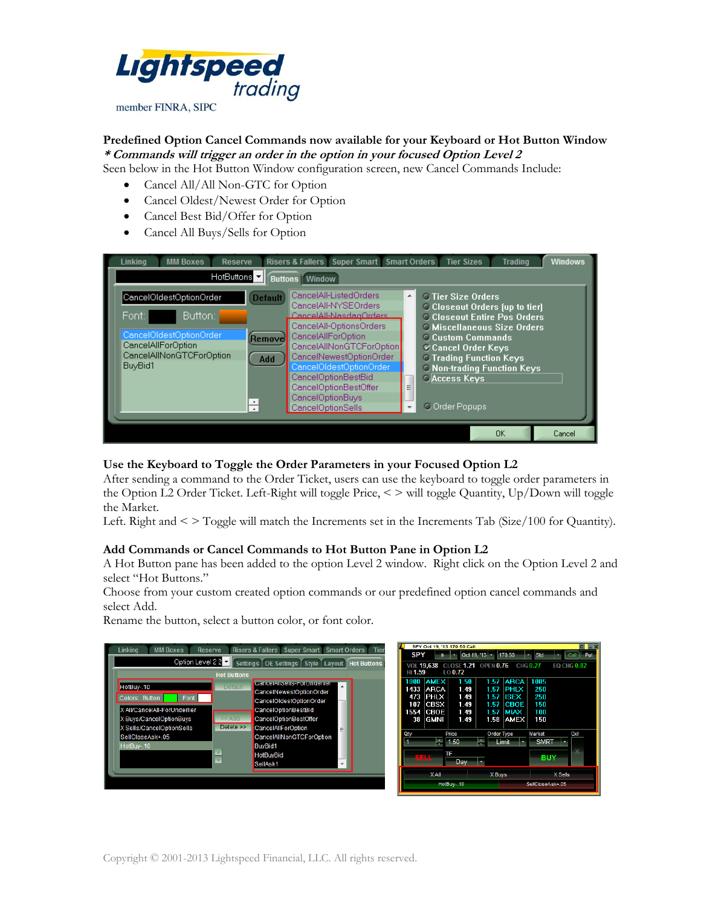

### **Predefined Option Cancel Commands now available for your Keyboard or Hot Button Window \* Commands will trigger an order in the option in your focused Option Level 2**

Seen below in the Hot Button Window configuration screen, new Cancel Commands Include:

- Cancel All/All Non-GTC for Option
- Cancel Oldest/Newest Order for Option
- Cancel Best Bid/Offer for Option
- Cancel All Buys/Sells for Option



#### **Use the Keyboard to Toggle the Order Parameters in your Focused Option L2**

After sending a command to the Order Ticket, users can use the keyboard to toggle order parameters in the Option L2 Order Ticket. Left-Right will toggle Price, < > will toggle Quantity, Up/Down will toggle the Market.

Left. Right and < > Toggle will match the Increments set in the Increments Tab (Size/100 for Quantity).

#### **Add Commands or Cancel Commands to Hot Button Pane in Option L2**

A Hot Button pane has been added to the option Level 2 window. Right click on the Option Level 2 and select "Hot Buttons."

Choose from your custom created option commands or our predefined option cancel commands and select Add.

Rename the button, select a button color, or font color.